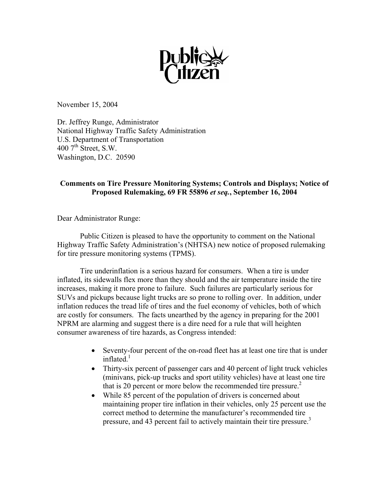

November 15, 2004

Dr. Jeffrey Runge, Administrator National Highway Traffic Safety Administration U.S. Department of Transportation 400  $7<sup>th</sup>$  Street, S.W. Washington, D.C. 20590

# **Comments on Tire Pressure Monitoring Systems; Controls and Displays; Notice of Proposed Rulemaking, 69 FR 55896** *et seq.***, September 16, 2004**

Dear Administrator Runge:

 Public Citizen is pleased to have the opportunity to comment on the National Highway Traffic Safety Administration's (NHTSA) new notice of proposed rulemaking for tire pressure monitoring systems (TPMS).

Tire underinflation is a serious hazard for consumers. When a tire is under inflated, its sidewalls flex more than they should and the air temperature inside the tire increases, making it more prone to failure. Such failures are particularly serious for SUVs and pickups because light trucks are so prone to rolling over. In addition, under inflation reduces the tread life of tires and the fuel economy of vehicles, both of which are costly for consumers. The facts unearthed by the agency in preparing for the 2001 NPRM are alarming and suggest there is a dire need for a rule that will heighten consumer awareness of tire hazards, as Congress intended:

- Seventy-four percent of the on-road fleet has at least one tire that is under inflated. $<sup>1</sup>$ </sup>
- Thirty-six percent of passenger cars and 40 percent of light truck vehicles (minivans, pick-up trucks and sport utility vehicles) have at least one tire that is 20 percent or more below the recommended tire pressure.<sup>2</sup>
- While 85 percent of the population of drivers is concerned about maintaining proper tire inflation in their vehicles, only 25 percent use the correct method to determine the manufacturer's recommended tire pressure, and 43 percent fail to actively maintain their tire pressure.<sup>3</sup>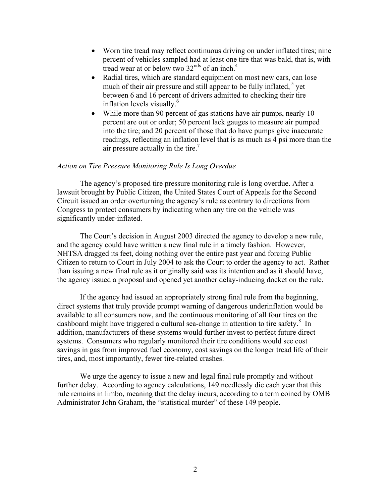- Worn tire tread may reflect continuous driving on under inflated tires; nine percent of vehicles sampled had at least one tire that was bald, that is, with tread wear at or below two  $32<sup>nds</sup>$  of an inch.<sup>4</sup>
- Radial tires, which are standard equipment on most new cars, can lose much of their air pressure and still appear to be fully inflated,  $5$  yet between 6 and 16 percent of drivers admitted to checking their tire inflation levels visually.<sup>6</sup>
- While more than 90 percent of gas stations have air pumps, nearly 10 percent are out or order; 50 percent lack gauges to measure air pumped into the tire; and 20 percent of those that do have pumps give inaccurate readings, reflecting an inflation level that is as much as 4 psi more than the air pressure actually in the tire.<sup>7</sup>

### *Action on Tire Pressure Monitoring Rule Is Long Overdue*

 The agency's proposed tire pressure monitoring rule is long overdue. After a lawsuit brought by Public Citizen, the United States Court of Appeals for the Second Circuit issued an order overturning the agency's rule as contrary to directions from Congress to protect consumers by indicating when any tire on the vehicle was significantly under-inflated.

The Court's decision in August 2003 directed the agency to develop a new rule, and the agency could have written a new final rule in a timely fashion. However, NHTSA dragged its feet, doing nothing over the entire past year and forcing Public Citizen to return to Court in July 2004 to ask the Court to order the agency to act. Rather than issuing a new final rule as it originally said was its intention and as it should have, the agency issued a proposal and opened yet another delay-inducing docket on the rule.

If the agency had issued an appropriately strong final rule from the beginning, direct systems that truly provide prompt warning of dangerous underinflation would be available to all consumers now, and the continuous monitoring of all four tires on the dashboard might have triggered a cultural sea-change in attention to tire safety.<sup>8</sup> In addition, manufacturers of these systems would further invest to perfect future direct systems. Consumers who regularly monitored their tire conditions would see cost savings in gas from improved fuel economy, cost savings on the longer tread life of their tires, and, most importantly, fewer tire-related crashes.

We urge the agency to issue a new and legal final rule promptly and without further delay. According to agency calculations, 149 needlessly die each year that this rule remains in limbo, meaning that the delay incurs, according to a term coined by OMB Administrator John Graham, the "statistical murder" of these 149 people.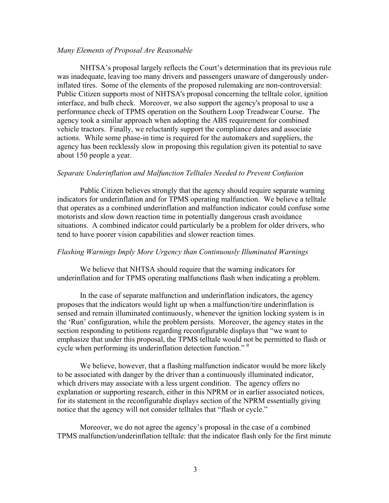### *Many Elements of Proposal Are Reasonable*

NHTSA's proposal largely reflects the Court's determination that its previous rule was inadequate, leaving too many drivers and passengers unaware of dangerously underinflated tires. Some of the elements of the proposed rulemaking are non-controversial: Public Citizen supports most of NHTSA's proposal concerning the telltale color, ignition interface, and bulb check. Moreover, we also support the agency's proposal to use a performance check of TPMS operation on the Southern Loop Treadwear Course. The agency took a similar approach when adopting the ABS requirement for combined vehicle tractors. Finally, we reluctantly support the compliance dates and associate actions. While some phase-in time is required for the automakers and suppliers, the agency has been recklessly slow in proposing this regulation given its potential to save about 150 people a year.

#### *Separate Underinflation and Malfunction Telltales Needed to Prevent Confusion*

Public Citizen believes strongly that the agency should require separate warning indicators for underinflation and for TPMS operating malfunction. We believe a telltale that operates as a combined underinflation and malfunction indicator could confuse some motorists and slow down reaction time in potentially dangerous crash avoidance situations. A combined indicator could particularly be a problem for older drivers, who tend to have poorer vision capabilities and slower reaction times.

#### *Flashing Warnings Imply More Urgency than Continuously Illuminated Warnings*

We believe that NHTSA should require that the warning indicators for underinflation and for TPMS operating malfunctions flash when indicating a problem.

In the case of separate malfunction and underinflation indicators, the agency proposes that the indicators would light up when a malfunction/tire underinflation is sensed and remain illuminated continuously, whenever the ignition locking system is in the 'Run' configuration, while the problem persists. Moreover, the agency states in the section responding to petitions regarding reconfigurable displays that "we want to emphasize that under this proposal, the TPMS telltale would not be permitted to flash or cycle when performing its underinflation detection function."<sup>9</sup>

We believe, however, that a flashing malfunction indicator would be more likely to be associated with danger by the driver than a continuously illuminated indicator, which drivers may associate with a less urgent condition. The agency offers no explanation or supporting research, either in this NPRM or in earlier associated notices, for its statement in the reconfigurable displays section of the NPRM essentially giving notice that the agency will not consider telltales that "flash or cycle."

Moreover, we do not agree the agency's proposal in the case of a combined TPMS malfunction/underinflation telltale: that the indicator flash only for the first minute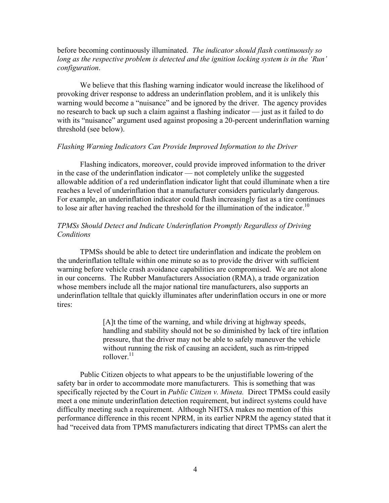## before becoming continuously illuminated. *The indicator should flash continuously so long as the respective problem is detected and the ignition locking system is in the 'Run' configuration*.

We believe that this flashing warning indicator would increase the likelihood of provoking driver response to address an underinflation problem, and it is unlikely this warning would become a "nuisance" and be ignored by the driver. The agency provides no research to back up such a claim against a flashing indicator — just as it failed to do with its "nuisance" argument used against proposing a 20-percent underinflation warning threshold (see below).

## *Flashing Warning Indicators Can Provide Improved Information to the Driver*

Flashing indicators, moreover, could provide improved information to the driver in the case of the underinflation indicator — not completely unlike the suggested allowable addition of a red underinflation indicator light that could illuminate when a tire reaches a level of underinflation that a manufacturer considers particularly dangerous. For example, an underinflation indicator could flash increasingly fast as a tire continues to lose air after having reached the threshold for the illumination of the indicator.<sup>10</sup>

## *TPMSs Should Detect and Indicate Underinflation Promptly Regardless of Driving Conditions*

TPMSs should be able to detect tire underinflation and indicate the problem on the underinflation telltale within one minute so as to provide the driver with sufficient warning before vehicle crash avoidance capabilities are compromised. We are not alone in our concerns. The Rubber Manufacturers Association (RMA), a trade organization whose members include all the major national tire manufacturers, also supports an underinflation telltale that quickly illuminates after underinflation occurs in one or more tires:

> [A]t the time of the warning, and while driving at highway speeds, handling and stability should not be so diminished by lack of tire inflation pressure, that the driver may not be able to safely maneuver the vehicle without running the risk of causing an accident, such as rim-tripped rollover. $11$

Public Citizen objects to what appears to be the unjustifiable lowering of the safety bar in order to accommodate more manufacturers. This is something that was specifically rejected by the Court in *Public Citizen v. Mineta.* Direct TPMSs could easily meet a one minute underinflation detection requirement, but indirect systems could have difficulty meeting such a requirement. Although NHTSA makes no mention of this performance difference in this recent NPRM, in its earlier NPRM the agency stated that it had "received data from TPMS manufacturers indicating that direct TPMSs can alert the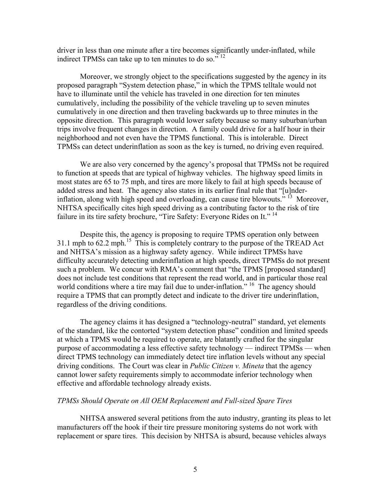driver in less than one minute after a tire becomes significantly under-inflated, while indirect TPMSs can take up to ten minutes to do so." <sup>12</sup>

Moreover, we strongly object to the specifications suggested by the agency in its proposed paragraph "System detection phase," in which the TPMS telltale would not have to illuminate until the vehicle has traveled in one direction for ten minutes cumulatively, including the possibility of the vehicle traveling up to seven minutes cumulatively in one direction and then traveling backwards up to three minutes in the opposite direction. This paragraph would lower safety because so many suburban/urban trips involve frequent changes in direction. A family could drive for a half hour in their neighborhood and not even have the TPMS functional. This is intolerable. Direct TPMSs can detect underinflation as soon as the key is turned, no driving even required.

We are also very concerned by the agency's proposal that TPMSs not be required to function at speeds that are typical of highway vehicles. The highway speed limits in most states are 65 to 75 mph, and tires are more likely to fail at high speeds because of added stress and heat. The agency also states in its earlier final rule that "[u]nderinflation, along with high speed and overloading, can cause tire blowouts." 13 Moreover, NHTSA specifically cites high speed driving as a contributing factor to the risk of tire failure in its tire safety brochure, "Tire Safety: Everyone Rides on It."<sup>14</sup>

Despite this, the agency is proposing to require TPMS operation only between 31.1 mph to 62.2 mph.<sup>15</sup> This is completely contrary to the purpose of the TREAD Act and NHTSA's mission as a highway safety agency. While indirect TPMSs have difficulty accurately detecting underinflation at high speeds, direct TPMSs do not present such a problem. We concur with RMA's comment that "the TPMS [proposed standard] does not include test conditions that represent the read world, and in particular those real world conditions where a tire may fail due to under-inflation." <sup>16</sup> The agency should require a TPMS that can promptly detect and indicate to the driver tire underinflation, regardless of the driving conditions.

The agency claims it has designed a "technology-neutral" standard, yet elements of the standard, like the contorted "system detection phase" condition and limited speeds at which a TPMS would be required to operate, are blatantly crafted for the singular purpose of accommodating a less effective safety technology — indirect TPMSs — when direct TPMS technology can immediately detect tire inflation levels without any special driving conditions. The Court was clear in *Public Citizen v. Mineta* that the agency cannot lower safety requirements simply to accommodate inferior technology when effective and affordable technology already exists.

#### *TPMSs Should Operate on All OEM Replacement and Full-sized Spare Tires*

NHTSA answered several petitions from the auto industry, granting its pleas to let manufacturers off the hook if their tire pressure monitoring systems do not work with replacement or spare tires. This decision by NHTSA is absurd, because vehicles always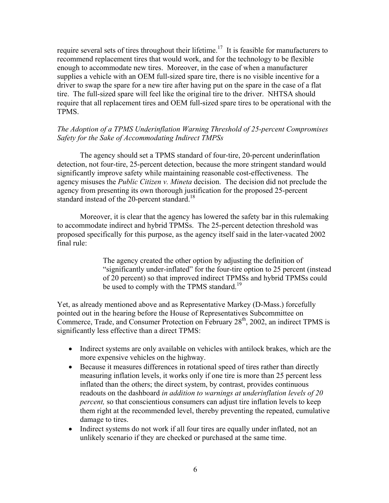require several sets of tires throughout their lifetime.<sup>17</sup> It is feasible for manufacturers to recommend replacement tires that would work, and for the technology to be flexible enough to accommodate new tires. Moreover, in the case of when a manufacturer supplies a vehicle with an OEM full-sized spare tire, there is no visible incentive for a driver to swap the spare for a new tire after having put on the spare in the case of a flat tire. The full-sized spare will feel like the original tire to the driver. NHTSA should require that all replacement tires and OEM full-sized spare tires to be operational with the TPMS.

# *The Adoption of a TPMS Underinflation Warning Threshold of 25-percent Compromises Safety for the Sake of Accommodating Indirect TMPSs*

The agency should set a TPMS standard of four-tire, 20-percent underinflation detection, not four-tire, 25-percent detection, because the more stringent standard would significantly improve safety while maintaining reasonable cost-effectiveness. The agency misuses the *Public Citizen v. Mineta* decision. The decision did not preclude the agency from presenting its own thorough justification for the proposed 25-percent standard instead of the 20-percent standard.<sup>18</sup>

Moreover, it is clear that the agency has lowered the safety bar in this rulemaking to accommodate indirect and hybrid TPMSs. The 25-percent detection threshold was proposed specifically for this purpose, as the agency itself said in the later-vacated 2002 final rule:

> The agency created the other option by adjusting the definition of "significantly under-inflated" for the four-tire option to 25 percent (instead of 20 percent) so that improved indirect TPMSs and hybrid TPMSs could be used to comply with the TPMS standard.<sup>19</sup>

Yet, as already mentioned above and as Representative Markey (D-Mass.) forcefully pointed out in the hearing before the House of Representatives Subcommittee on Commerce, Trade, and Consumer Protection on February  $28<sup>th</sup>$ , 2002, an indirect TPMS is significantly less effective than a direct TPMS:

- Indirect systems are only available on vehicles with antilock brakes, which are the more expensive vehicles on the highway.
- Because it measures differences in rotational speed of tires rather than directly measuring inflation levels, it works only if one tire is more than 25 percent less inflated than the others; the direct system, by contrast, provides continuous readouts on the dashboard *in addition to warnings at underinflation levels of 20 percent*, so that conscientious consumers can adjust tire inflation levels to keep them right at the recommended level, thereby preventing the repeated, cumulative damage to tires.
- Indirect systems do not work if all four tires are equally under inflated, not an unlikely scenario if they are checked or purchased at the same time.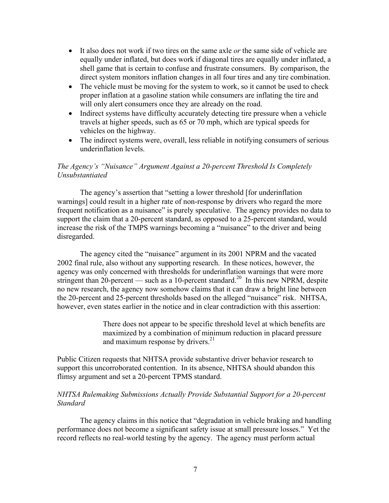- It also does not work if two tires on the same axle *or* the same side of vehicle are equally under inflated, but does work if diagonal tires are equally under inflated, a shell game that is certain to confuse and frustrate consumers. By comparison, the direct system monitors inflation changes in all four tires and any tire combination.
- The vehicle must be moving for the system to work, so it cannot be used to check proper inflation at a gasoline station while consumers are inflating the tire and will only alert consumers once they are already on the road.
- Indirect systems have difficulty accurately detecting tire pressure when a vehicle travels at higher speeds, such as 65 or 70 mph, which are typical speeds for vehicles on the highway.
- The indirect systems were, overall, less reliable in notifying consumers of serious underinflation levels.

## *The Agency's "Nuisance" Argument Against a 20-percent Threshold Is Completely Unsubstantiated*

The agency's assertion that "setting a lower threshold [for underinflation warnings] could result in a higher rate of non-response by drivers who regard the more frequent notification as a nuisance" is purely speculative. The agency provides no data to support the claim that a 20-percent standard, as opposed to a 25-percent standard, would increase the risk of the TMPS warnings becoming a "nuisance" to the driver and being disregarded.

The agency cited the "nuisance" argument in its 2001 NPRM and the vacated 2002 final rule, also without any supporting research. In these notices, however, the agency was only concerned with thresholds for underinflation warnings that were more stringent than 20-percent — such as a 10-percent standard.<sup>20</sup> In this new NPRM, despite no new research, the agency now somehow claims that it can draw a bright line between the 20-percent and 25-percent thresholds based on the alleged "nuisance" risk. NHTSA, however, even states earlier in the notice and in clear contradiction with this assertion:

> There does not appear to be specific threshold level at which benefits are maximized by a combination of minimum reduction in placard pressure and maximum response by drivers. $21$

Public Citizen requests that NHTSA provide substantive driver behavior research to support this uncorroborated contention. In its absence, NHTSA should abandon this flimsy argument and set a 20-percent TPMS standard.

## *NHTSA Rulemaking Submissions Actually Provide Substantial Support for a 20-percent Standard*

The agency claims in this notice that "degradation in vehicle braking and handling performance does not become a significant safety issue at small pressure losses." Yet the record reflects no real-world testing by the agency. The agency must perform actual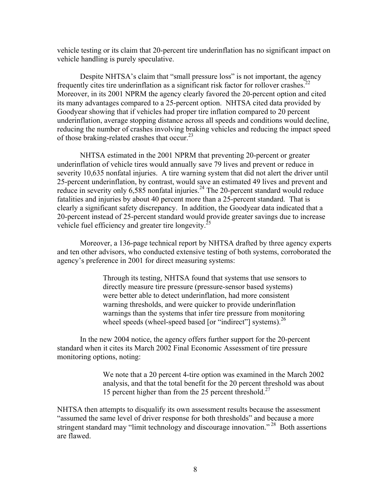vehicle testing or its claim that 20-percent tire underinflation has no significant impact on vehicle handling is purely speculative.

Despite NHTSA's claim that "small pressure loss" is not important, the agency frequently cites tire underinflation as a significant risk factor for rollover crashes.<sup>22</sup> Moreover, in its 2001 NPRM the agency clearly favored the 20-percent option and cited its many advantages compared to a 25-percent option. NHTSA cited data provided by Goodyear showing that if vehicles had proper tire inflation compared to 20 percent underinflation, average stopping distance across all speeds and conditions would decline, reducing the number of crashes involving braking vehicles and reducing the impact speed of those braking-related crashes that occur.<sup>23</sup>

NHTSA estimated in the 2001 NPRM that preventing 20-percent or greater underinflation of vehicle tires would annually save 79 lives and prevent or reduce in severity 10,635 nonfatal injuries. A tire warning system that did not alert the driver until 25-percent underinflation, by contrast, would save an estimated 49 lives and prevent and reduce in severity only  $6,585$  nonfatal injuries.<sup>24</sup> The 20-percent standard would reduce fatalities and injuries by about 40 percent more than a 25-percent standard. That is clearly a significant safety discrepancy. In addition, the Goodyear data indicated that a 20-percent instead of 25-percent standard would provide greater savings due to increase vehicle fuel efficiency and greater tire longevity.<sup>25</sup>

Moreover, a 136-page technical report by NHTSA drafted by three agency experts and ten other advisors, who conducted extensive testing of both systems, corroborated the agency's preference in 2001 for direct measuring systems:

> Through its testing, NHTSA found that systems that use sensors to directly measure tire pressure (pressure-sensor based systems) were better able to detect underinflation, had more consistent warning thresholds, and were quicker to provide underinflation warnings than the systems that infer tire pressure from monitoring wheel speeds (wheel-speed based [or "indirect"] systems). $^{26}$

In the new 2004 notice, the agency offers further support for the 20-percent standard when it cites its March 2002 Final Economic Assessment of tire pressure monitoring options, noting:

> We note that a 20 percent 4-tire option was examined in the March 2002 analysis, and that the total benefit for the 20 percent threshold was about 15 percent higher than from the 25 percent threshold.<sup>27</sup>

NHTSA then attempts to disqualify its own assessment results because the assessment "assumed the same level of driver response for both thresholds" and because a more stringent standard may "limit technology and discourage innovation."<sup>28</sup> Both assertions are flawed.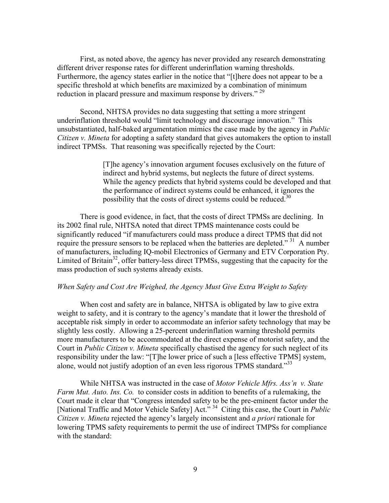First, as noted above, the agency has never provided any research demonstrating different driver response rates for different underinflation warning thresholds. Furthermore, the agency states earlier in the notice that "[t]here does not appear to be a specific threshold at which benefits are maximized by a combination of minimum reduction in placard pressure and maximum response by drivers."<sup>29</sup>

Second, NHTSA provides no data suggesting that setting a more stringent underinflation threshold would "limit technology and discourage innovation." This unsubstantiated, half-baked argumentation mimics the case made by the agency in *Public Citizen v. Mineta* for adopting a safety standard that gives automakers the option to install indirect TPMSs. That reasoning was specifically rejected by the Court:

> [T]he agency's innovation argument focuses exclusively on the future of indirect and hybrid systems, but neglects the future of direct systems. While the agency predicts that hybrid systems could be developed and that the performance of indirect systems could be enhanced, it ignores the possibility that the costs of direct systems could be reduced.<sup>30</sup>

 There is good evidence, in fact, that the costs of direct TPMSs are declining. In its 2002 final rule, NHTSA noted that direct TPMS maintenance costs could be significantly reduced "if manufacturers could mass produce a direct TPMS that did not require the pressure sensors to be replaced when the batteries are depleted."<sup>31</sup> A number of manufacturers, including IQ-mobil Electronics of Germany and ETV Corporation Pty. Limited of Britain<sup>32</sup>, offer battery-less direct TPMSs, suggesting that the capacity for the mass production of such systems already exists.

#### *When Safety and Cost Are Weighed, the Agency Must Give Extra Weight to Safety*

When cost and safety are in balance, NHTSA is obligated by law to give extra weight to safety, and it is contrary to the agency's mandate that it lower the threshold of acceptable risk simply in order to accommodate an inferior safety technology that may be slightly less costly. Allowing a 25-percent underinflation warning threshold permits more manufacturers to be accommodated at the direct expense of motorist safety, and the Court in *Public Citizen v. Mineta* specifically chastised the agency for such neglect of its responsibility under the law: "[T]he lower price of such a [less effective TPMS] system, alone, would not justify adoption of an even less rigorous TPMS standard.<sup>333</sup>

 While NHTSA was instructed in the case of *Motor Vehicle Mfrs. Ass'n v. State Farm Mut. Auto. Ins. Co.* to consider costs in addition to benefits of a rulemaking, the Court made it clear that "Congress intended safety to be the pre-eminent factor under the [National Traffic and Motor Vehicle Safety] Act." 34 Citing this case, the Court in *Public Citizen v. Mineta* rejected the agency's largely inconsistent and *a priori* rationale for lowering TPMS safety requirements to permit the use of indirect TMPSs for compliance with the standard: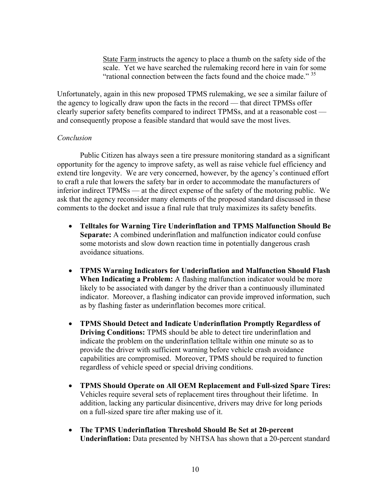State Farm instructs the agency to place a thumb on the safety side of the scale. Yet we have searched the rulemaking record here in vain for some "rational connection between the facts found and the choice made."  $35$ 

Unfortunately, again in this new proposed TPMS rulemaking, we see a similar failure of the agency to logically draw upon the facts in the record — that direct TPMSs offer clearly superior safety benefits compared to indirect TPMSs, and at a reasonable cost and consequently propose a feasible standard that would save the most lives.

### *Conclusion*

 Public Citizen has always seen a tire pressure monitoring standard as a significant opportunity for the agency to improve safety, as well as raise vehicle fuel efficiency and extend tire longevity. We are very concerned, however, by the agency's continued effort to craft a rule that lowers the safety bar in order to accommodate the manufacturers of inferior indirect TPMSs — at the direct expense of the safety of the motoring public. We ask that the agency reconsider many elements of the proposed standard discussed in these comments to the docket and issue a final rule that truly maximizes its safety benefits.

- **Telltales for Warning Tire Underinflation and TPMS Malfunction Should Be Separate:** A combined underinflation and malfunction indicator could confuse some motorists and slow down reaction time in potentially dangerous crash avoidance situations.
- **TPMS Warning Indicators for Underinflation and Malfunction Should Flash**  When Indicating a Problem: A flashing malfunction indicator would be more likely to be associated with danger by the driver than a continuously illuminated indicator. Moreover, a flashing indicator can provide improved information, such as by flashing faster as underinflation becomes more critical.
- **TPMS Should Detect and Indicate Underinflation Promptly Regardless of Driving Conditions:** TPMS should be able to detect tire underinflation and indicate the problem on the underinflation telltale within one minute so as to provide the driver with sufficient warning before vehicle crash avoidance capabilities are compromised. Moreover, TPMS should be required to function regardless of vehicle speed or special driving conditions.
- **TPMS Should Operate on All OEM Replacement and Full-sized Spare Tires:** Vehicles require several sets of replacement tires throughout their lifetime. In addition, lacking any particular disincentive, drivers may drive for long periods on a full-sized spare tire after making use of it.
- **The TPMS Underinflation Threshold Should Be Set at 20-percent Underinflation:** Data presented by NHTSA has shown that a 20-percent standard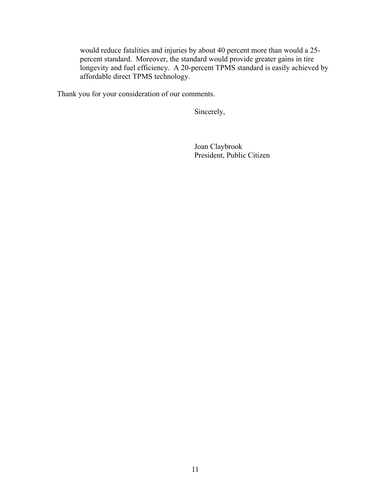would reduce fatalities and injuries by about 40 percent more than would a 25 percent standard. Moreover, the standard would provide greater gains in tire longevity and fuel efficiency. A 20-percent TPMS standard is easily achieved by affordable direct TPMS technology.

Thank you for your consideration of our comments.

Sincerely,

 Joan Claybrook President, Public Citizen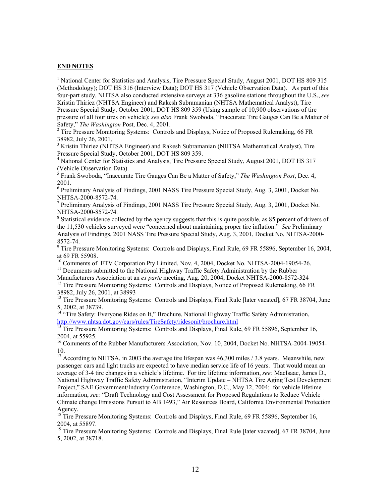#### **END NOTES**

 $\overline{a}$ 

<sup>1</sup> National Center for Statistics and Analysis, Tire Pressure Special Study, August 2001, DOT HS 809 315 (Methodology); DOT HS 316 (Interview Data); DOT HS 317 (Vehicle Observation Data). As part of this four-part study, NHTSA also conducted extensive surveys at 336 gasoline stations throughout the U.S., *see*  Kristin Thiriez (NHTSA Engineer) and Rakesh Subramanian (NHTSA Mathematical Analyst), Tire Pressure Special Study, October 2001, DOT HS 809 359 (Using sample of 10,900 observations of tire pressure of all four tires on vehicle); *see also* Frank Swoboda, "Inaccurate Tire Gauges Can Be a Matter of Safety," *The Washington Post*, Dec. 4, 2001.

 $2$  Tire Pressure Monitoring Systems: Controls and Displays, Notice of Proposed Rulemaking, 66 FR 38982, July 26, 2001.

<sup>3</sup> Kristin Thiriez (NHTSA Engineer) and Rakesh Subramanian (NHTSA Mathematical Analyst), Tire Pressure Special Study, October 2001, DOT HS 809 359.

<sup>4</sup> National Center for Statistics and Analysis, Tire Pressure Special Study, August 2001, DOT HS 317 (Vehicle Observation Data).

5 Frank Swoboda, "Inaccurate Tire Gauges Can Be a Matter of Safety," *The Washington Post*, Dec. 4, 2001.

<sup>6</sup> Preliminary Analysis of Findings, 2001 NASS Tire Pressure Special Study, Aug. 3, 2001, Docket No. NHTSA-2000-8572-74.

<sup>7</sup> Preliminary Analysis of Findings, 2001 NASS Tire Pressure Special Study, Aug. 3, 2001, Docket No. NHTSA-2000-8572-74*.* <sup>8</sup>

<sup>8</sup> Statistical evidence collected by the agency suggests that this is quite possible, as 85 percent of drivers of the 11,530 vehicles surveyed were "concerned about maintaining proper tire inflation." *See* Preliminary Analysis of Findings, 2001 NASS Tire Pressure Special Study, Aug. 3, 2001, Docket No. NHTSA-2000- 8572-74.

<sup>9</sup> Tire Pressure Monitoring Systems: Controls and Displays, Final Rule, 69 FR 55896, September 16, 2004, at 69 FR 55908.

<sup>10</sup> Comments of ETV Corporation Pty Limited, Nov. 4, 2004, Docket No. NHTSA-2004-19054-26. <sup>11</sup> Documents submitted to the National Highway Traffic Safety Administration by the Rubber Manufacturers Association at an *ex parte* meeting, Aug. 20, 2004, Docket NHTSA-2000-8572-324

<sup>12</sup> Tire Pressure Monitoring Systems: Controls and Displays, Notice of Proposed Rulemaking, 66 FR 38982, July 26, 2001, at 38993

<sup>13</sup> Tire Pressure Monitoring Systems: Controls and Displays, Final Rule [later vacated], 67 FR 38704, June 5, 2002, at 38739.

<sup>14</sup> "Tire Safety: Everyone Rides on It," Brochure, National Highway Traffic Safety Administration, http://www.nhtsa.dot.gov/cars/rules/TireSafety/ridesonit/brochure.html<br><sup>15</sup> Tire Pressure Monitoring Systems: Controls and Displays, Final Rule, 69 FR 55896, September 16,

2004, at 55925.

<sup>16</sup> Comments of the Rubber Manufacturers Association, Nov. 10, 2004, Docket No. NHTSA-2004-19054-10.

<sup>17</sup> According to NHTSA, in 2003 the average tire lifespan was  $46,300$  miles  $/ 3.8$  years. Meanwhile, new passenger cars and light trucks are expected to have median service life of 16 years. That would mean an average of 3-4 tire changes in a vehicle's lifetime. For tire lifetime information, *see:* MacIsaac, James D., National Highway Traffic Safety Administration, "Interim Update – NHTSA Tire Aging Test Development Project," SAE Government/Industry Conference, Washington, D.C., May 12, 2004; for vehicle lifetime information, *see:* "Draft Technology and Cost Assessment for Proposed Regulations to Reduce Vehicle Climate change Emissions Pursuit to AB 1493," Air Resources Board, California Environmental Protection Agency.

<sup>18</sup> Tire Pressure Monitoring Systems: Controls and Displays, Final Rule, 69 FR 55896, September 16, 2004, at 55897.

<sup>19</sup> Tire Pressure Monitoring Systems: Controls and Displays, Final Rule [later vacated], 67 FR 38704, June 5, 2002, at 38718.